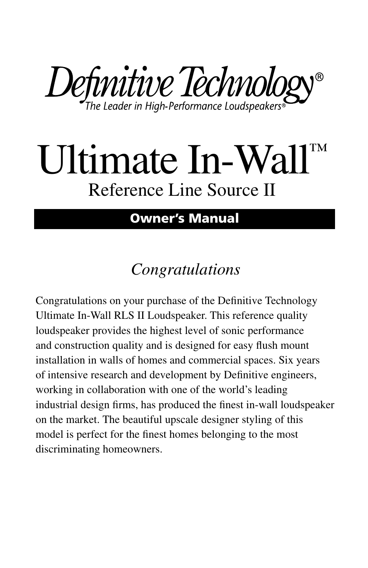Definitive Technology®

# Ultimate In-Wall™ Reference Line Source II

#### **Owner's Manual**

## *Congratulations*

Congratulations on your purchase of the Definitive Technology Ultimate In-Wall RLS II Loudspeaker. This reference quality loudspeaker provides the highest level of sonic performance and construction quality and is designed for easy flush mount installation in walls of homes and commercial spaces. Six years of intensive research and development by Definitive engineers, working in collaboration with one of the world's leading industrial design firms, has produced the finest in-wall loudspeaker on the market. The beautiful upscale designer styling of this model is perfect for the finest homes belonging to the most discriminating homeowners.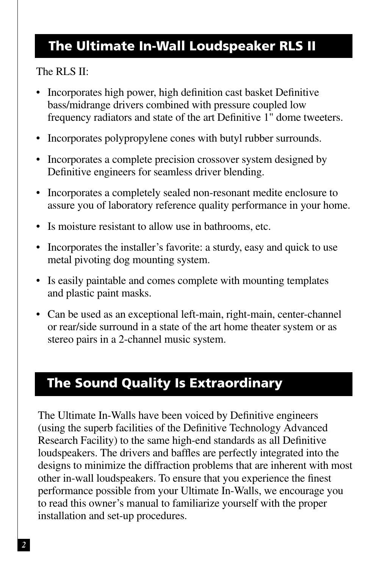### **The Ultimate In-Wall Loudspeaker RLS II**

#### The RLS II:

- Incorporates high power, high definition cast basket Definitive bass/midrange drivers combined with pressure coupled low frequency radiators and state of the art Definitive 1" dome tweeters.
- Incorporates polypropylene cones with butyl rubber surrounds.
- Incorporates a complete precision crossover system designed by Definitive engineers for seamless driver blending.
- Incorporates a completely sealed non-resonant medite enclosure to assure you of laboratory reference quality performance in your home.
- Is moisture resistant to allow use in bathrooms, etc.
- Incorporates the installer's favorite: a sturdy, easy and quick to use metal pivoting dog mounting system.
- Is easily paintable and comes complete with mounting templates and plastic paint masks.
- Can be used as an exceptional left-main, right-main, center-channel or rear/side surround in a state of the art home theater system or as stereo pairs in a 2-channel music system.

## **The Sound Quality Is Extraordinary**

The Ultimate In-Walls have been voiced by Definitive engineers (using the superb facilities of the Definitive Technology Advanced Research Facility) to the same high-end standards as all Definitive loudspeakers. The drivers and baffles are perfectly integrated into the designs to minimize the diffraction problems that are inherent with most other in-wall loudspeakers. To ensure that you experience the finest performance possible from your Ultimate In-Walls, we encourage you to read this owner's manual to familiarize yourself with the proper installation and set-up procedures.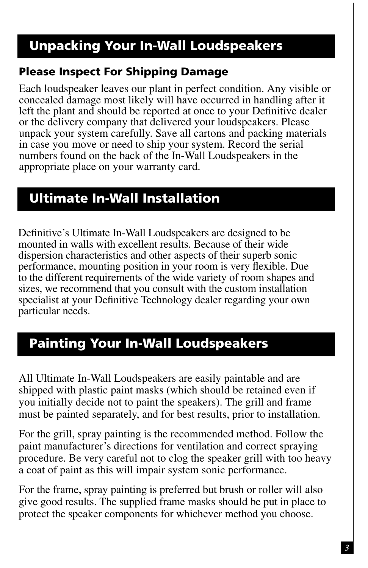## **Unpacking Your In-Wall Loudspeakers**

#### **Please Inspect For Shipping Damage**

Each loudspeaker leaves our plant in perfect condition. Any visible or concealed damage most likely will have occurred in handling after it left the plant and should be reported at once to your Definitive dealer or the delivery company that delivered your loudspeakers. Please unpack your system carefully. Save all cartons and packing materials in case you move or need to ship your system. Record the serial numbers found on the back of the In-Wall Loudspeakers in the appropriate place on your warranty card.

#### **Ultimate In-Wall Installation**

Definitive's Ultimate In-Wall Loudspeakers are designed to be mounted in walls with excellent results. Because of their wide dispersion characteristics and other aspects of their superb sonic performance, mounting position in your room is very flexible. Due to the different requirements of the wide variety of room shapes and sizes, we recommend that you consult with the custom installation specialist at your Definitive Technology dealer regarding your own particular needs.

## **Painting Your In-Wall Loudspeakers**

All Ultimate In-Wall Loudspeakers are easily paintable and are shipped with plastic paint masks (which should be retained even if you initially decide not to paint the speakers). The grill and frame must be painted separately, and for best results, prior to installation.

For the grill, spray painting is the recommended method. Follow the paint manufacturer's directions for ventilation and correct spraying procedure. Be very careful not to clog the speaker grill with too heavy a coat of paint as this will impair system sonic performance.

For the frame, spray painting is preferred but brush or roller will also give good results. The supplied frame masks should be put in place to protect the speaker components for whichever method you choose.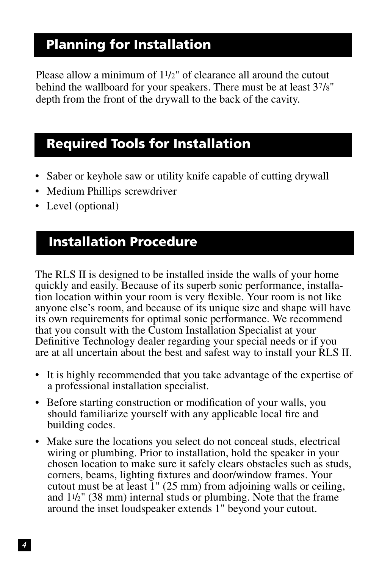#### **Planning for Installation**

Please allow a minimum of 11/2" of clearance all around the cutout behind the wallboard for your speakers. There must be at least 37/8" depth from the front of the drywall to the back of the cavity.

#### **Required Tools for Installation**

- Saber or keyhole saw or utility knife capable of cutting drywall
- Medium Phillips screwdriver
- Level (optional)

#### **Installation Procedure**

The RLS II is designed to be installed inside the walls of your home quickly and easily. Because of its superb sonic performance, installation location within your room is very flexible. Your room is not like anyone else's room, and because of its unique size and shape will have its own requirements for optimal sonic performance. We recommend that you consult with the Custom Installation Specialist at your Definitive Technology dealer regarding your special needs or if you are at all uncertain about the best and safest way to install your RLS II.

- It is highly recommended that you take advantage of the expertise of a professional installation specialist.
- Before starting construction or modification of your walls, you should familiarize yourself with any applicable local fire and building codes.
- Make sure the locations you select do not conceal studs, electrical wiring or plumbing. Prior to installation, hold the speaker in your chosen location to make sure it safely clears obstacles such as studs, corners, beams, lighting fixtures and door/window frames. Your cutout must be at least 1" (25 mm) from adjoining walls or ceiling, and  $11/2$ " (38 mm) internal studs or plumbing. Note that the frame around the inset loudspeaker extends 1" beyond your cutout.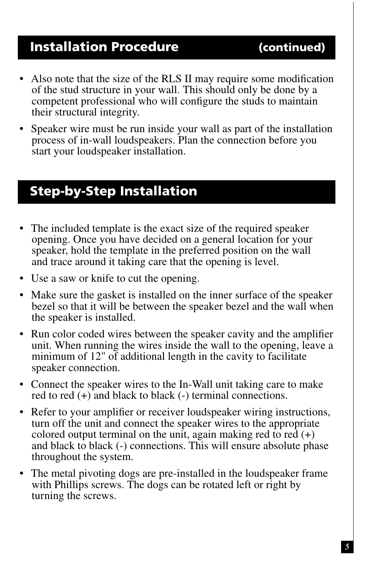#### **Installation Procedure (continued)**

- Also note that the size of the RLS II may require some modification of the stud structure in your wall. This should only be done by a competent professional who will configure the studs to maintain their structural integrity.
- Speaker wire must be run inside your wall as part of the installation process of in-wall loudspeakers. Plan the connection before you start your loudspeaker installation.

#### **Step-by-Step Installation**

- The included template is the exact size of the required speaker opening. Once you have decided on a general location for your speaker, hold the template in the preferred position on the wall and trace around it taking care that the opening is level.
- Use a saw or knife to cut the opening.
- Make sure the gasket is installed on the inner surface of the speaker bezel so that it will be between the speaker bezel and the wall when the speaker is installed.
- Run color coded wires between the speaker cavity and the amplifier unit. When running the wires inside the wall to the opening, leave a minimum of 12" of additional length in the cavity to facilitate speaker connection.
- Connect the speaker wires to the In-Wall unit taking care to make red to red (+) and black to black (-) terminal connections.
- Refer to your amplifier or receiver loudspeaker wiring instructions, turn off the unit and connect the speaker wires to the appropriate colored output terminal on the unit, again making red to red  $(+)$ and black to black (-) connections. This will ensure absolute phase throughout the system.
- The metal pivoting dogs are pre-installed in the loudspeaker frame with Phillips screws. The dogs can be rotated left or right by turning the screws.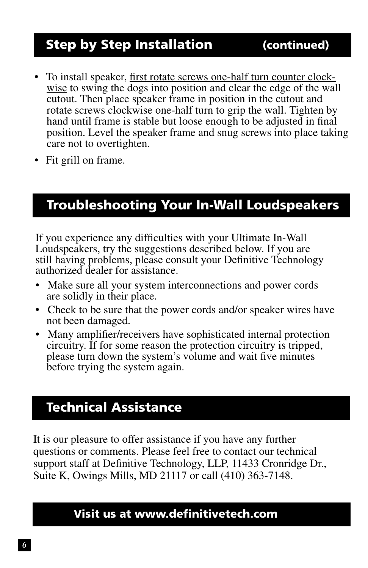## **Step by Step Installation (continued)**

- To install speaker, first rotate screws one-half turn counter clockwise to swing the dogs into position and clear the edge of the wall cutout. Then place speaker frame in position in the cutout and rotate screws clockwise one-half turn to grip the wall. Tighten by hand until frame is stable but loose enough to be adjusted in final position. Level the speaker frame and snug screws into place taking care not to overtighten.
- Fit grill on frame.

#### **Troubleshooting Your In-Wall Loudspeakers**

If you experience any difficulties with your Ultimate In-Wall Loudspeakers, try the suggestions described below. If you are still having problems, please consult your Definitive Technology authorized dealer for assistance.

- Make sure all your system interconnections and power cords are solidly in their place.
- Check to be sure that the power cords and/or speaker wires have not been damaged.
- Many amplifier/receivers have sophisticated internal protection circuitry. If for some reason the protection circuitry is tripped, please turn down the system's volume and wait five minutes before trying the system again.

#### **Technical Assistance**

It is our pleasure to offer assistance if you have any further questions or comments. Please feel free to contact our technical support staff at Definitive Technology, LLP, 11433 Cronridge Dr., Suite K, Owings Mills, MD 21117 or call (410) 363-7148.

#### **Visit us at www.definitivetech.com**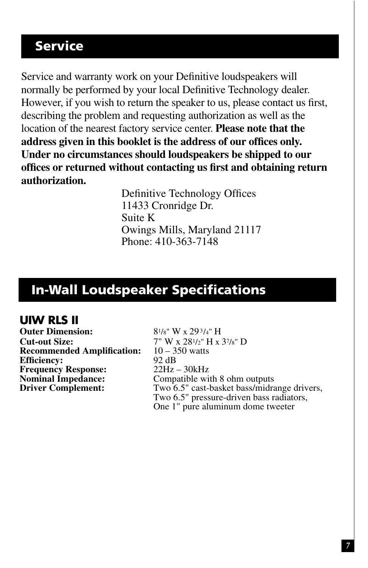#### **Service**

Service and warranty work on your Definitive loudspeakers will normally be performed by your local Definitive Technology dealer. However, if you wish to return the speaker to us, please contact us first, describing the problem and requesting authorization as well as the location of the nearest factory service center. **Please note that the address given in this booklet is the address of our offices only. Under no circumstances should loudspeakers be shipped to our offices or returned without contacting us first and obtaining return authorization.**

> Definitive Technology Offices 11433 Cronridge Dr. Suite K Owings Mills, Maryland 21117 Phone: 410-363-7148

#### **In-Wall Loudspeaker Specifications**

#### **UIW RLS II**

**Outer Dimension:** 8<sup>1</sup>/8" W x 29<sup>3</sup>/4" H **Cut-out Size:**  $7''$  W x  $28^{1/2}$  H x  $3^{7/8}$  D<br>**Recommended Amplification:**  $10 - 350$  watts **Recommended Amplification:**  $10-3$ <br>**Efficiency:** 92 dB **Efficiency:** 92 dB **Frequency Response:**<br>Nominal Impedance:

**Nominal Impedance:** Compatible with 8 ohm outputs<br> **Driver Complement:** Two 6.5" cast-basket bass/midra Two 6.5" cast-basket bass/midrange drivers, Two 6.5" pressure-driven bass radiators, One 1" pure aluminum dome tweeter